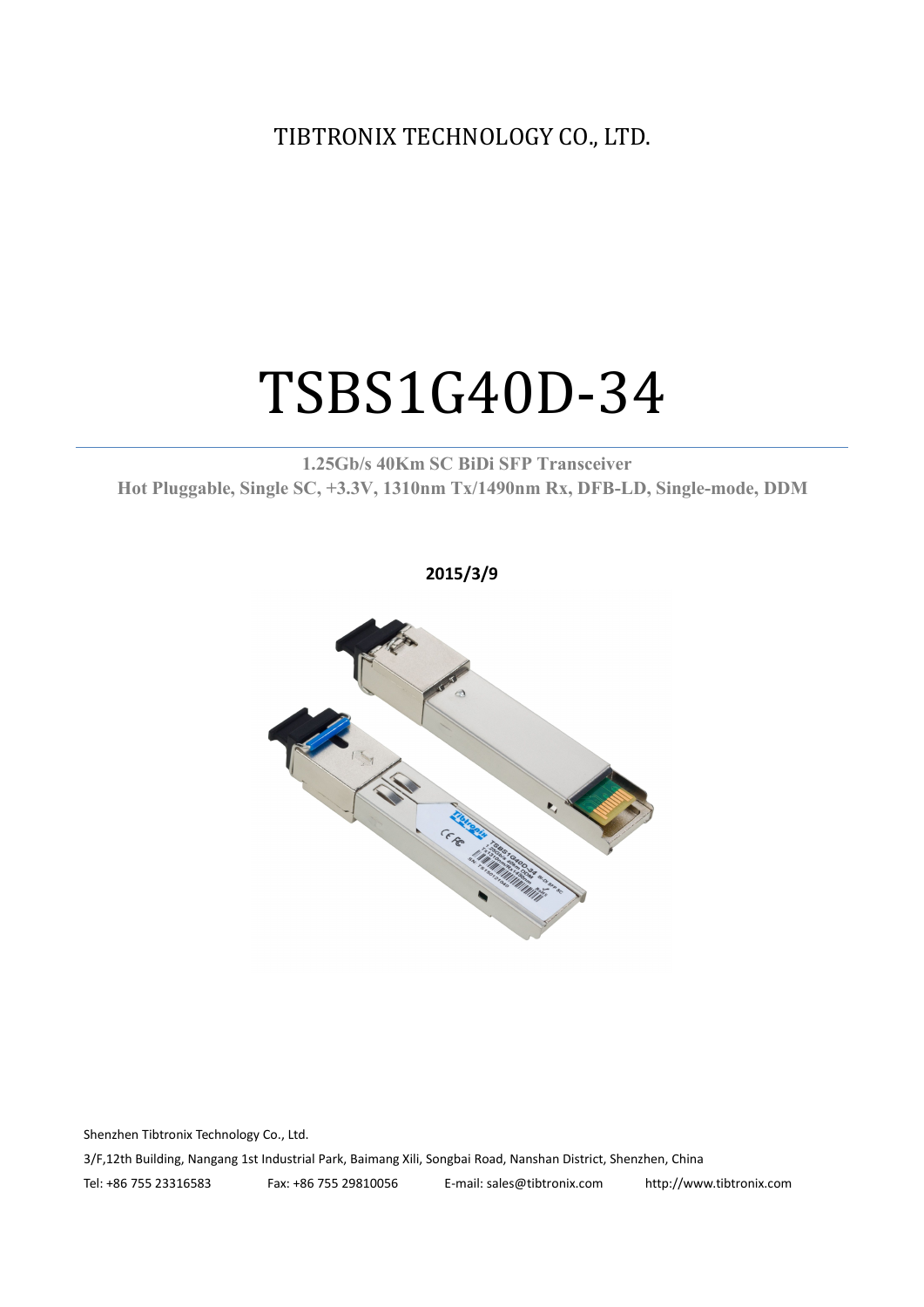TIBTRONIX TECHNOLOGY CO., LTD.

# TSBS1G40D-34

**1.25Gb/s 40Km SC BiDi SFP Transceiver Hot Pluggable, Single SC, +3.3V, 1310nm Tx/1490nm Rx, DFB-LD,Single-mode, DDM**

**2015/3/9**



Shenzhen Tibtronix Technology Co., Ltd. 3/F,12th Building, Nangang 1st Industrial Park, Baimang Xili, Songbai Road, Nanshan District, Shenzhen, China Tel: +86 755 23316583 Fax: +86 755 29810056 E-mail: sales@tibtronix.com http://www.tibtronix.com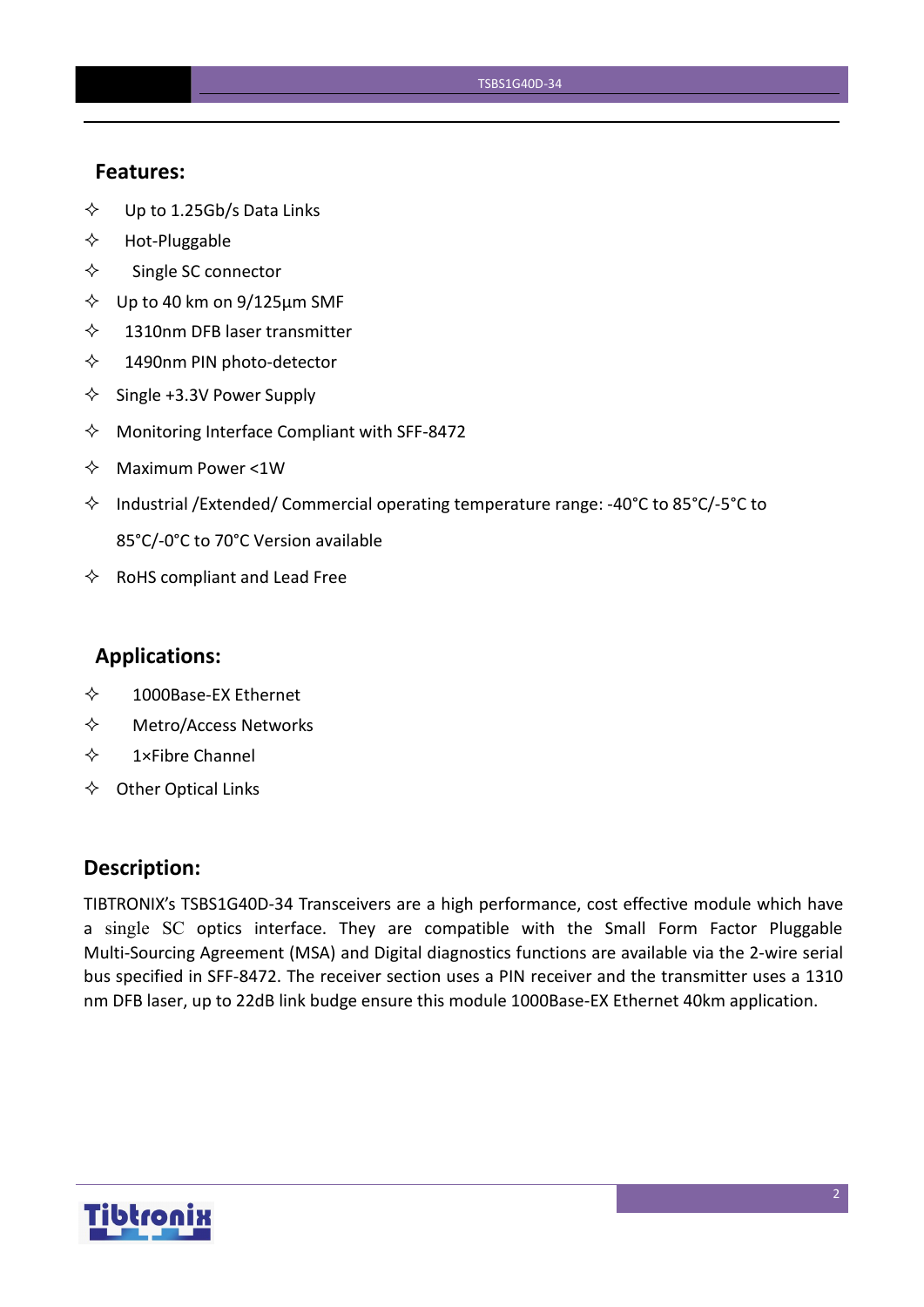#### **Features:**

- $\diamond$  Up to 1.25Gb/s Data Links
- $\Leftrightarrow$  Hot-Pluggable
- $\Leftrightarrow$  Single SC connector
- $\diamond$  Up to 40 km on 9/125 µm SMF
- $\diamond$  1310nm DFB laser transmitter
- $\lozenge$  1490nm PIN photo-detector
- $\diamond$  Single +3.3V Power Supply
- $\Diamond$  Monitoring Interface Compliant with SFF-8472
- $\Leftrightarrow$  Maximum Power <1W
- $\Diamond$  Industrial /Extended/ Commercial operating temperature range: -40°C to 85°C/-5°C to 85°C/-0°C to 70°C Version available
- $\Leftrightarrow$  RoHS compliant and Lead Free

#### **Applications:**

- 1000Base-EX Ethernet
- Metro/Access Networks
- $\diamond$  1×Fibre Channel
- $\Leftrightarrow$  Other Optical Links

#### **Description:**

TIBTRONIX's TSBS1G40D-34 Transceivers are a high performance, cost effective module which have a single SC optics interface. They are compatible with the Small Form Factor Pluggable Multi-Sourcing Agreement (MSA) and Digital diagnostics functions are available via the 2-wire serial bus specified in SFF-8472. The receiver section uses a PIN receiver and the transmitter uses a 1310 nm DFB laser, up to 22dB link budge ensure this module 1000Base-EX Ethernet 40km application.

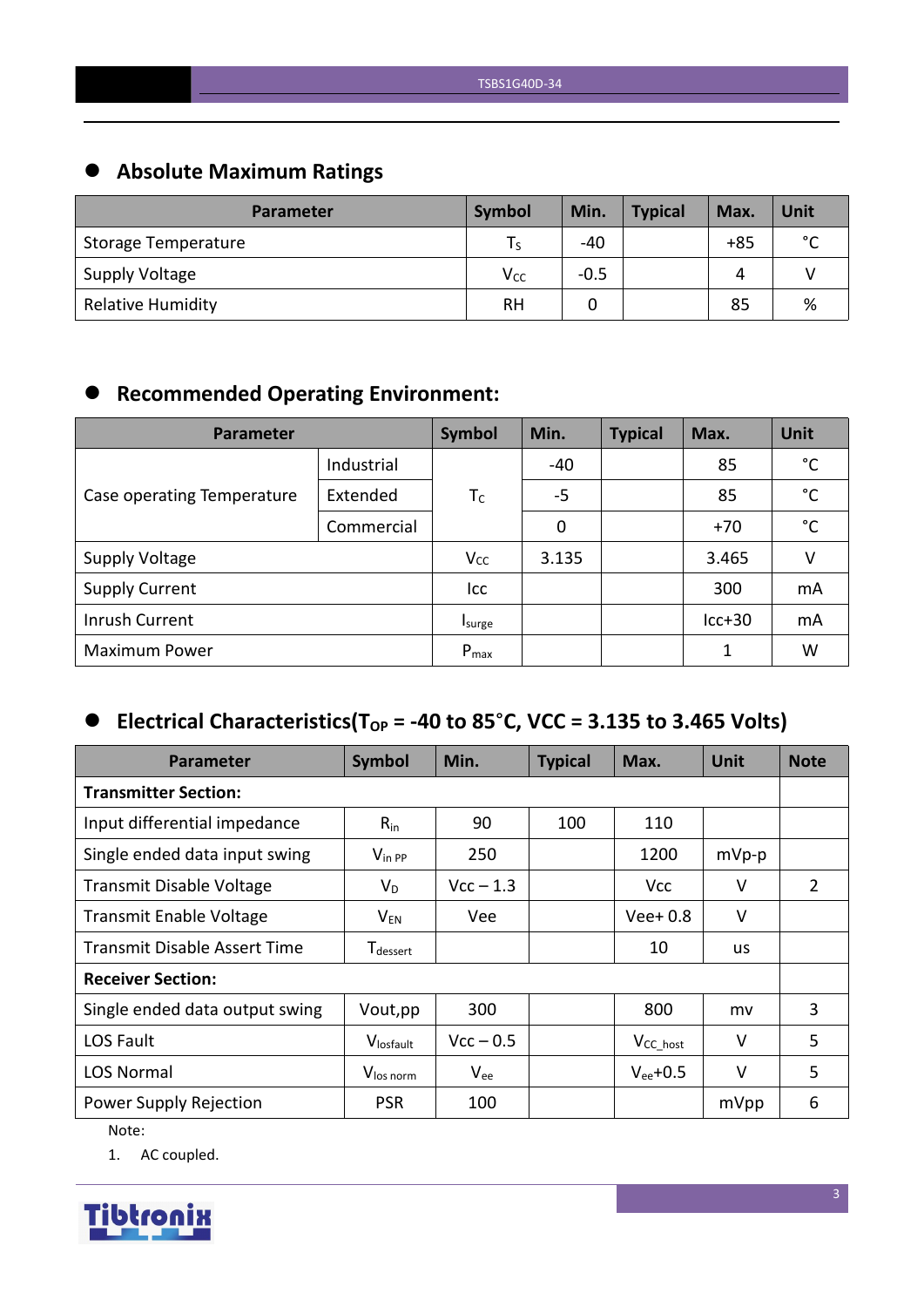# **Absolute Maximum Ratings**

| <b>Parameter</b>           | Symbol          | Min.   | <b>Typical</b> | Max.  | Unit        |
|----------------------------|-----------------|--------|----------------|-------|-------------|
| <b>Storage Temperature</b> | ۱s              | $-40$  |                | $+85$ | $\sim$<br>◡ |
| <b>Supply Voltage</b>      | V <sub>CC</sub> | $-0.5$ |                | Δ     |             |
| <b>Relative Humidity</b>   | <b>RH</b>       |        |                | 85    | %           |

# **Recommended Operating Environment:**

| Parameter                  | Symbol     | Min.      | <b>Typical</b> | Max. | <b>Unit</b> |              |
|----------------------------|------------|-----------|----------------|------|-------------|--------------|
|                            | Industrial |           | $-40$          |      | 85          | $^{\circ}$ C |
| Case operating Temperature | Extended   | $T_C$     | $-5$           |      | 85          | $^{\circ}$ C |
|                            | Commercial |           | 0              |      | $+70$       | °C           |
| <b>Supply Voltage</b>      |            | $V_{CC}$  | 3.135          |      | 3.465       | V            |
| <b>Supply Current</b>      |            | Icc       |                |      | 300         | mA           |
| Inrush Current             |            | Isurge    |                |      | $lcc+30$    | mA           |
| <b>Maximum Power</b>       |            | $P_{max}$ |                |      | 1           | W            |

## $\bullet$  Electrical Characteristics(T<sub>OP</sub> = -40 to 85°C, VCC = 3.135 to 3.465 Volts)

| <b>Parameter</b>                    | Symbol                      | Min.        | <b>Typical</b> | Max.           | <b>Unit</b> | <b>Note</b> |
|-------------------------------------|-----------------------------|-------------|----------------|----------------|-------------|-------------|
| <b>Transmitter Section:</b>         |                             |             |                |                |             |             |
| Input differential impedance        | $R_{in}$                    | 90          | 100            | 110            |             |             |
| Single ended data input swing       | $V_{\text{in PP}}$          | 250         |                | 1200           | $mVp-p$     |             |
| <b>Transmit Disable Voltage</b>     | $V_D$                       | $Vcc - 1.3$ |                | <b>Vcc</b>     | V           | 2           |
| <b>Transmit Enable Voltage</b>      | $V_{EN}$                    | Vee         |                | $Vee+0.8$      | $\vee$      |             |
| <b>Transmit Disable Assert Time</b> | <b>T</b> <sub>dessert</sub> |             |                | 10             | us          |             |
| <b>Receiver Section:</b>            |                             |             |                |                |             |             |
| Single ended data output swing      | Vout, pp                    | 300         |                | 800            | mv          | 3           |
| LOS Fault                           | Vlosfault                   | $Vcc - 0.5$ |                | $V_{CC\_host}$ | $\vee$      | 5           |
| <b>LOS Normal</b>                   | V <sub>los norm</sub>       | $V_{ee}$    |                | $V_{ee}$ +0.5  | $\vee$      | 5           |
| Power Supply Rejection              | <b>PSR</b>                  | 100         |                |                | mVpp        | 6           |

Note:

1. AC coupled.

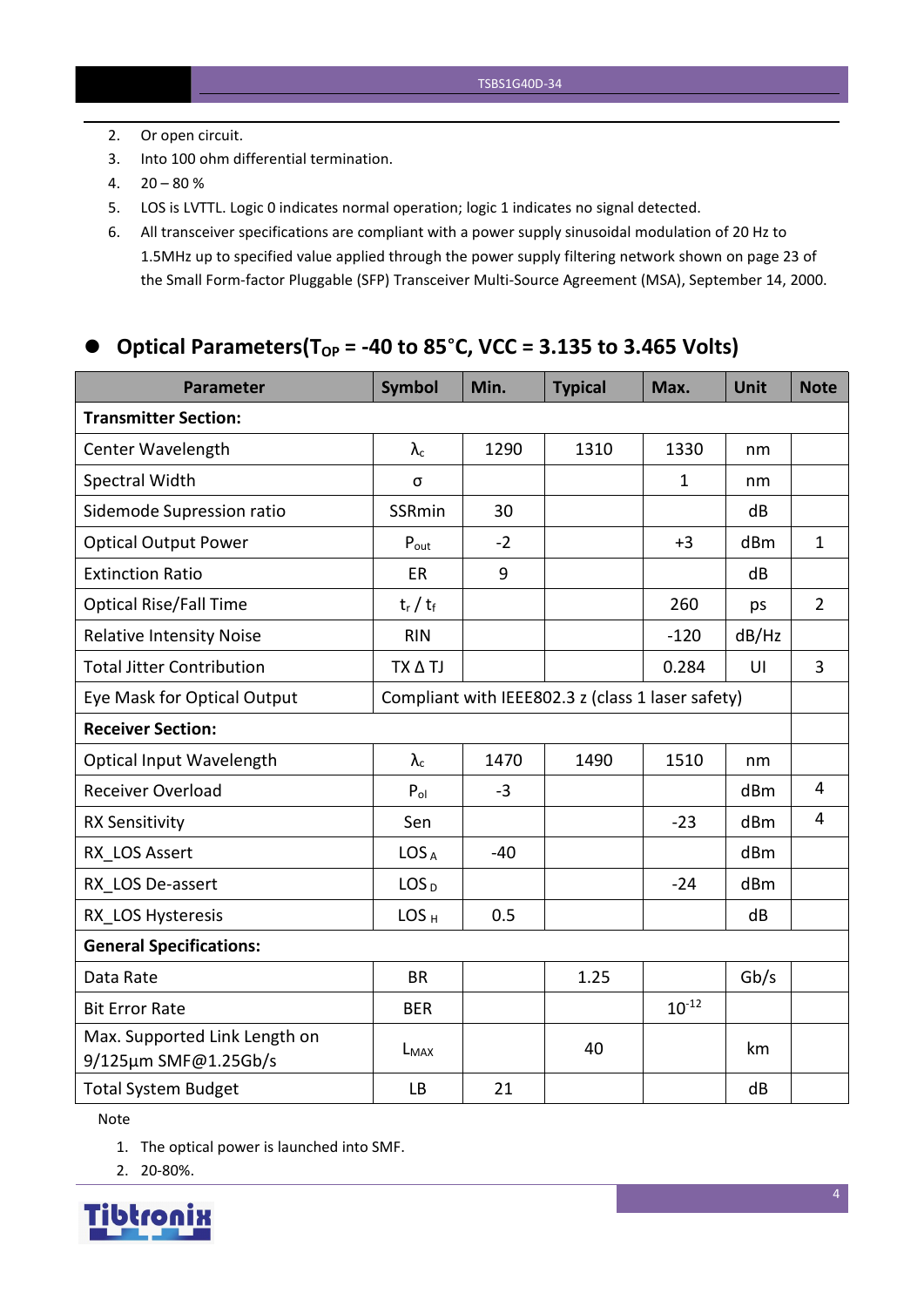- 2. Or open circuit.
- 3. Into 100 ohm differential termination.
- $4. \quad 20 80 \%$
- 5. LOS is LVTTL. Logic 0 indicates normal operation; logic 1 indicates no signal detected.
- 6. All transceiver specifications are compliant with a power supply sinusoidal modulation of 20 Hz to 1.5MHz up to specified value applied through the powersupply filtering network shown on page 23 of the Small Form-factor Pluggable (SFP) Transceiver Multi-Source Agreement (MSA), September 14, 2000.

#### **Optical Parameters(TOP = -40 to 85**°**C, VCC = 3.135 to 3.465 Volts)**

| <b>Parameter</b>                                      | <b>Symbol</b>    | Min.  | <b>Typical</b>                                    | Max.         | <b>Unit</b>     | <b>Note</b>    |
|-------------------------------------------------------|------------------|-------|---------------------------------------------------|--------------|-----------------|----------------|
| <b>Transmitter Section:</b>                           |                  |       |                                                   |              |                 |                |
| Center Wavelength                                     | $\lambda_c$      | 1290  | 1310                                              | 1330         | nm              |                |
| Spectral Width                                        | σ                |       |                                                   | $\mathbf{1}$ | nm              |                |
| Sidemode Supression ratio                             | SSRmin           | 30    |                                                   |              | dB              |                |
| <b>Optical Output Power</b>                           | $P_{\text{out}}$ | $-2$  |                                                   | $+3$         | dBm             | $\mathbf{1}$   |
| <b>Extinction Ratio</b>                               | <b>ER</b>        | 9     |                                                   |              | dB              |                |
| <b>Optical Rise/Fall Time</b>                         | $t_r / t_f$      |       |                                                   | 260          | ps              | $\overline{2}$ |
| <b>Relative Intensity Noise</b>                       | <b>RIN</b>       |       |                                                   | $-120$       | dB/Hz           |                |
| <b>Total Jitter Contribution</b>                      | TX A TJ          |       |                                                   | 0.284        | U               | $\overline{3}$ |
| Eye Mask for Optical Output                           |                  |       | Compliant with IEEE802.3 z (class 1 laser safety) |              |                 |                |
| <b>Receiver Section:</b>                              |                  |       |                                                   |              |                 |                |
| Optical Input Wavelength                              | $\lambda_c$      | 1470  | 1490                                              | 1510         | nm              |                |
| <b>Receiver Overload</b>                              | $P_{ol}$         | $-3$  |                                                   |              | dBm             | $\overline{4}$ |
| <b>RX Sensitivity</b>                                 | Sen              |       |                                                   | $-23$        | dB <sub>m</sub> | $\overline{4}$ |
| RX LOS Assert                                         | LOS <sub>A</sub> | $-40$ |                                                   |              | dBm             |                |
| RX LOS De-assert                                      | LOS <sub>D</sub> |       |                                                   | $-24$        | dBm             |                |
| RX LOS Hysteresis                                     | LOS <sub>H</sub> | 0.5   |                                                   |              | dB              |                |
| <b>General Specifications:</b>                        |                  |       |                                                   |              |                 |                |
| Data Rate                                             | <b>BR</b>        |       | 1.25                                              |              | Gb/s            |                |
| <b>Bit Error Rate</b>                                 | <b>BER</b>       |       |                                                   | $10^{-12}$   |                 |                |
| Max. Supported Link Length on<br>9/125µm SMF@1.25Gb/s | $L_{MAX}$        |       | 40                                                |              | km              |                |
| <b>Total System Budget</b>                            | <b>LB</b>        | 21    |                                                   |              | dB              |                |

Note

1. The optical power is launched into SMF.

2. 20-80%.

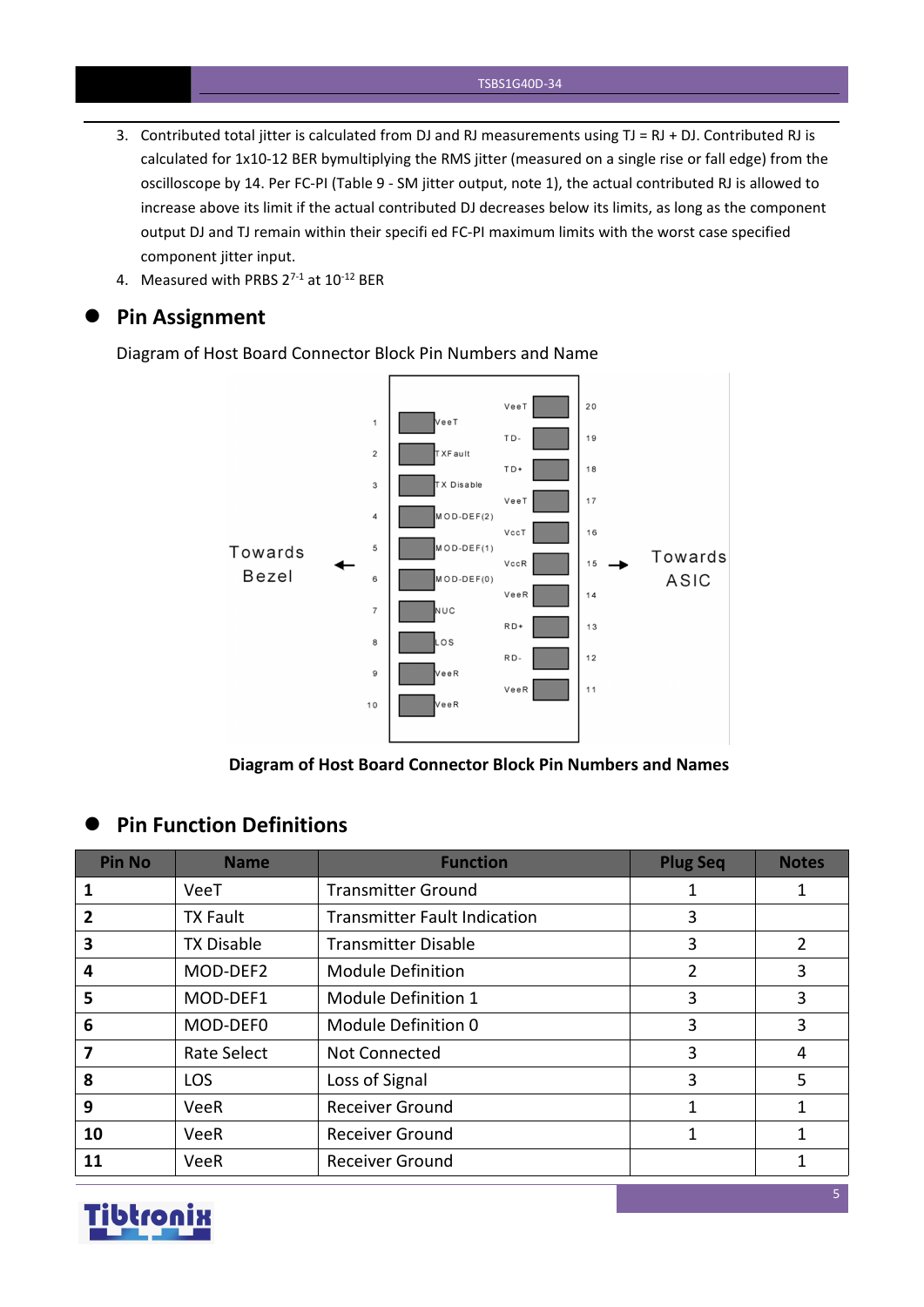- 3. Contributed total jitter is calculated from DJ and RJ measurements using  $TJ = RJ + DJ$ . Contributed RJ is calculated for 1x10-12 BER bymultiplying the RMS jitter (measured on a single rise or fall edge) from the oscilloscope by 14. Per FC-PI (Table 9 - SM jitter output, note 1), the actual contributed RJ is allowed to increase above its limit if the actual contributed DJ decreases below its limits, as long as the component output DJ and TJ remain within their specifi ed FC-PI maximum limits with the worst case specified component jitter input.
- 4. Measured with PRBS  $2^{7-1}$  at  $10^{-12}$  BER

#### **Pin Assignment**

Diagram of Host Board Connector Block Pin Numbers and Name



**Diagram of Host Board Connector Block Pin Numbers and Names**

#### **Pin Function Definitions**

| <b>Pin No</b> | <b>Name</b>       | <b>Function</b>                     | <b>Plug Seq</b> | <b>Notes</b>   |
|---------------|-------------------|-------------------------------------|-----------------|----------------|
|               | VeeT              | <b>Transmitter Ground</b>           |                 |                |
|               | <b>TX Fault</b>   | <b>Transmitter Fault Indication</b> | 3               |                |
| 3             | <b>TX Disable</b> | <b>Transmitter Disable</b>          | 3               | $\overline{2}$ |
| 4             | MOD-DEF2          | <b>Module Definition</b>            |                 | 3              |
| 5             | MOD-DEF1          | Module Definition 1                 | 3               | 3              |
| 6             | MOD-DEF0          | Module Definition 0                 | 3               | 3              |
|               | Rate Select       | Not Connected                       | 3               | 4              |
| 8             | <b>LOS</b>        | Loss of Signal                      | 3               | 5              |
| 9             | VeeR              | <b>Receiver Ground</b>              |                 |                |
| 10            | VeeR              | <b>Receiver Ground</b>              |                 |                |
| 11            | VeeR              | <b>Receiver Ground</b>              |                 |                |

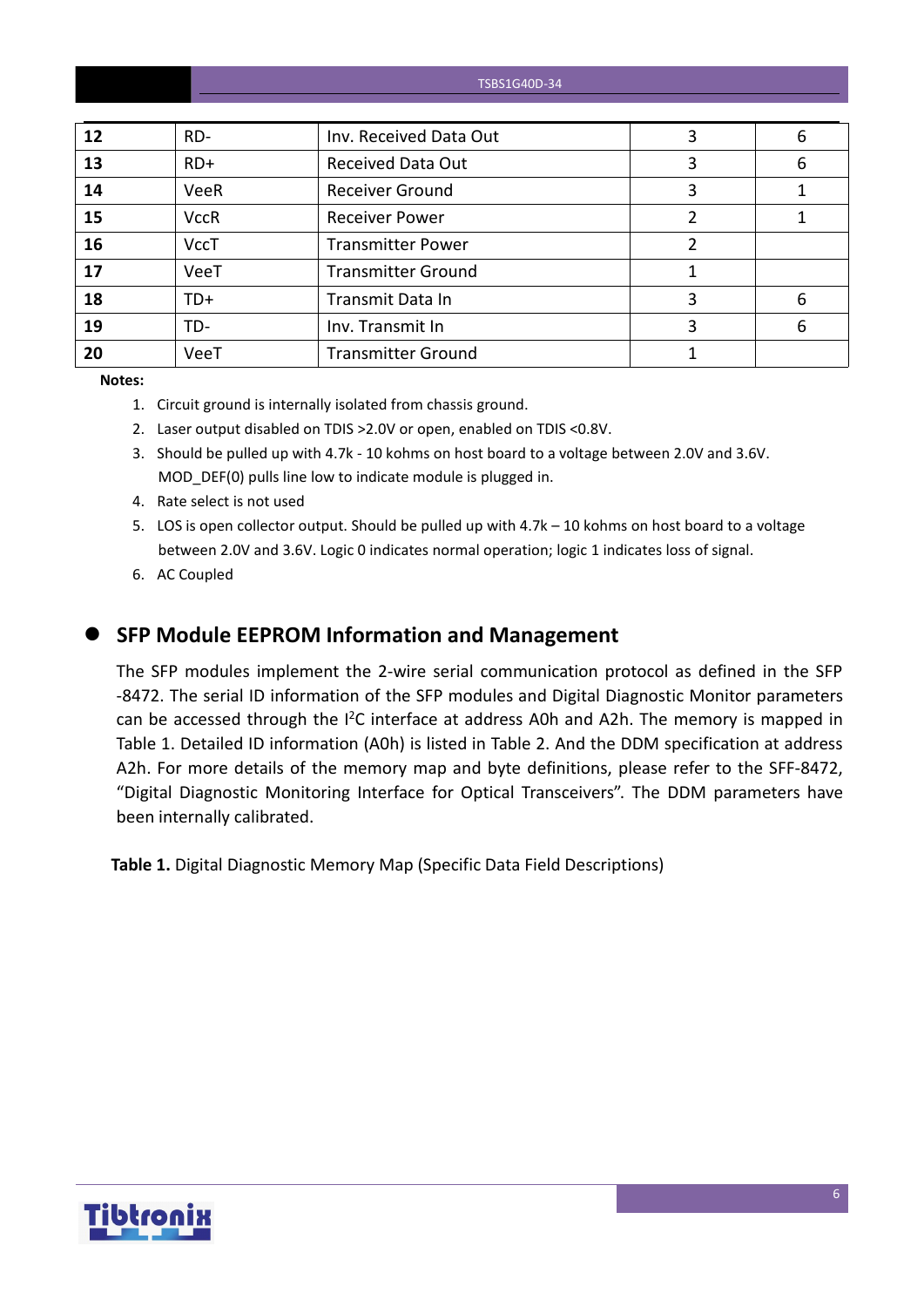| 12 | RD-         | Inv. Received Data Out    | 3 | 6 |
|----|-------------|---------------------------|---|---|
| 13 | $RD+$       | <b>Received Data Out</b>  | 3 | 6 |
| 14 | <b>VeeR</b> | <b>Receiver Ground</b>    | 3 |   |
| 15 | <b>VccR</b> | <b>Receiver Power</b>     |   |   |
| 16 | <b>VccT</b> | <b>Transmitter Power</b>  |   |   |
| 17 | VeeT        | <b>Transmitter Ground</b> |   |   |
| 18 | $TD+$       | Transmit Data In          | 3 | 6 |
| 19 | TD-         | Inv. Transmit In          | 3 | 6 |
| 20 | VeeT        | <b>Transmitter Ground</b> |   |   |

**Notes:**

- 1. Circuit ground is internally isolated from chassis ground.
- 2. Laser output disabled on TDIS >2.0V or open, enabled on TDIS <0.8V.
- 3. Should be pulled up with 4.7k 10 kohms on host board to a voltage between 2.0V and 3.6V. MOD\_DEF(0) pulls line low to indicate module is plugged in.
- 4. Rate select is not used
- 5. LOS is open collector output. Should be pulled up with 4.7k 10 kohms on host board to a voltage between 2.0V and 3.6V. Logic 0 indicates normal operation; logic 1 indicates loss of signal.
- 6. AC Coupled
- 

#### **SFP Module EEPROM Information and Management**

The SFP modules implement the 2-wire serial communication protocol as defined in the SFP -8472. The serial ID information of the SFP modules and Digital Diagnostic Monitor parameters can be accessed through the I<sup>2</sup>C interface at address A0h and A2h. The memory is mapped in Table 1. Detailed ID information (A0h) is listed in Table 2. And the DDM specification at address A2h. For more details of the memory map and byte definitions, please refer to the SFF-8472, "Digital Diagnostic Monitoring Interface for Optical Transceivers". The DDM parameters have been internally calibrated.

**Table 1.** Digital Diagnostic Memory Map (Specific Data Field Descriptions)

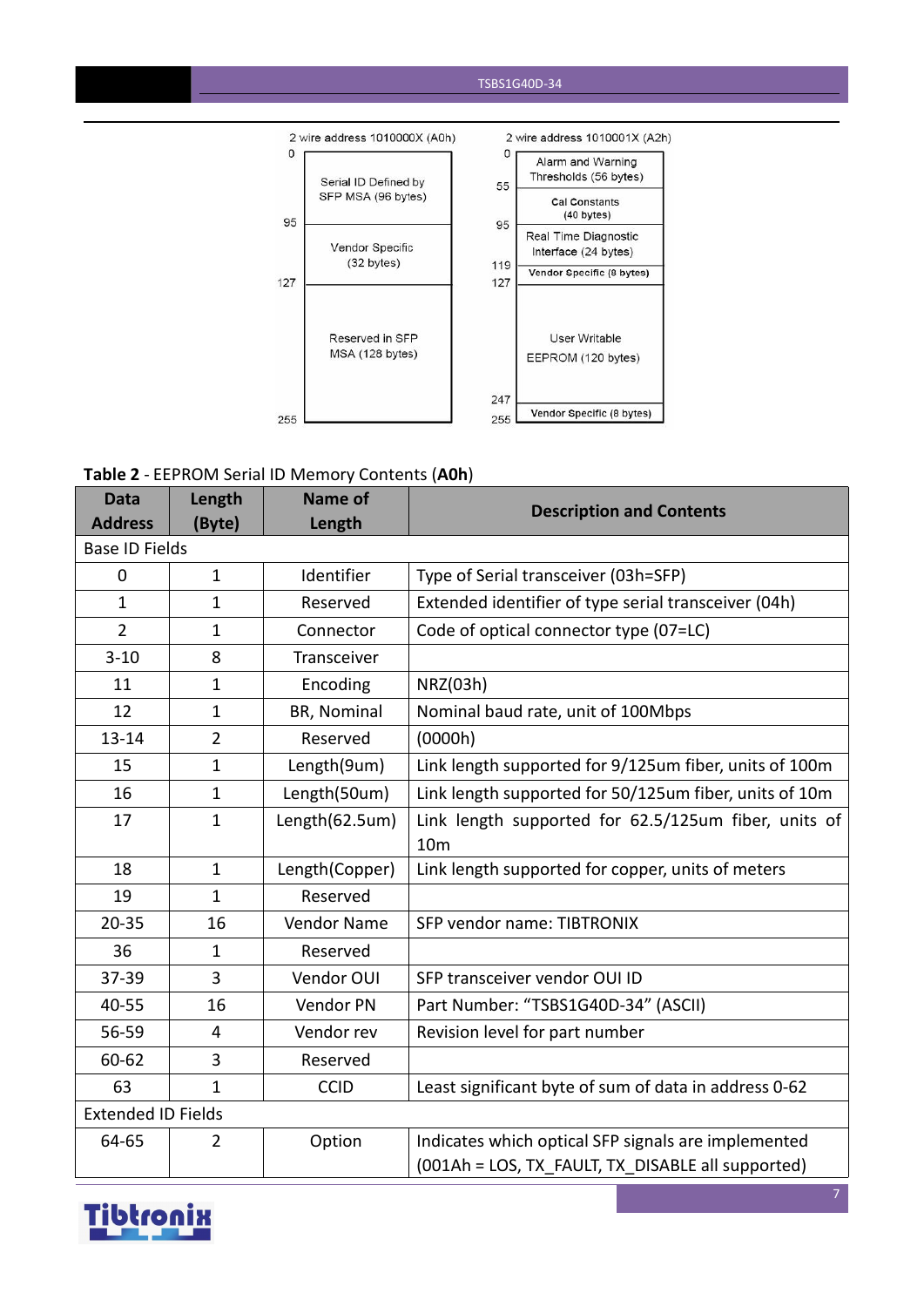

#### **Table 2** - EEPROM Serial ID Memory Contents (**A0h**)

| <b>Data</b>               | Length         | Name of        | <b>Description and Contents</b>                        |
|---------------------------|----------------|----------------|--------------------------------------------------------|
| <b>Address</b>            | (Byte)         | Length         |                                                        |
| <b>Base ID Fields</b>     |                |                |                                                        |
| $\mathbf 0$               | $\mathbf{1}$   | Identifier     | Type of Serial transceiver (03h=SFP)                   |
| $\mathbf{1}$              | $\mathbf{1}$   | Reserved       | Extended identifier of type serial transceiver (04h)   |
| $\overline{2}$            | 1              | Connector      | Code of optical connector type (07=LC)                 |
| $3 - 10$                  | 8              | Transceiver    |                                                        |
| 11                        | $\mathbf{1}$   | Encoding       | NRZ(03h)                                               |
| 12                        | $\mathbf{1}$   | BR, Nominal    | Nominal baud rate, unit of 100Mbps                     |
| $13 - 14$                 | $\overline{2}$ | Reserved       | (0000h)                                                |
| 15                        | $\mathbf{1}$   | Length(9um)    | Link length supported for 9/125um fiber, units of 100m |
| 16                        | $\mathbf{1}$   | Length(50um)   | Link length supported for 50/125um fiber, units of 10m |
| 17                        | $\mathbf{1}$   | Length(62.5um) | Link length supported for 62.5/125um fiber, units of   |
|                           |                |                | 10 <sub>m</sub>                                        |
| 18                        | $\mathbf{1}$   | Length(Copper) | Link length supported for copper, units of meters      |
| 19                        | $\mathbf{1}$   | Reserved       |                                                        |
| $20 - 35$                 | 16             | Vendor Name    | SFP vendor name: TIBTRONIX                             |
| 36                        | $\mathbf{1}$   | Reserved       |                                                        |
| 37-39                     | 3              | Vendor OUI     | SFP transceiver vendor OUI ID                          |
| 40-55                     | 16             | Vendor PN      | Part Number: "TSBS1G40D-34" (ASCII)                    |
| 56-59                     | $\overline{4}$ | Vendor rev     | Revision level for part number                         |
| 60-62                     | 3              | Reserved       |                                                        |
| 63                        | $\mathbf{1}$   | <b>CCID</b>    | Least significant byte of sum of data in address 0-62  |
| <b>Extended ID Fields</b> |                |                |                                                        |
| 64-65                     | $\overline{2}$ | Option         | Indicates which optical SFP signals are implemented    |
|                           |                |                | (001Ah = LOS, TX FAULT, TX DISABLE all supported)      |

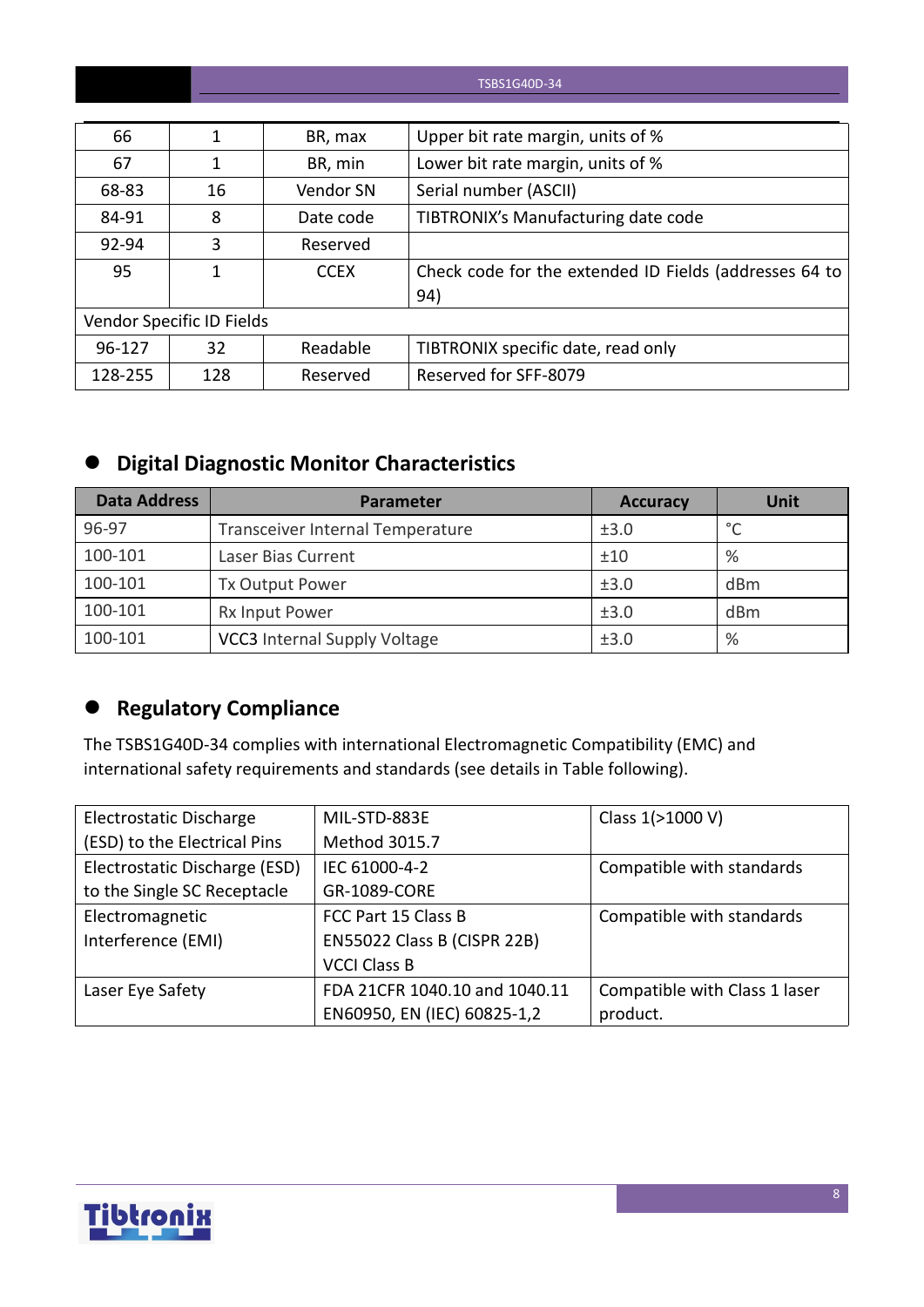| 66      |                           | BR, max     | Upper bit rate margin, units of %                      |
|---------|---------------------------|-------------|--------------------------------------------------------|
| 67      |                           | BR, min     | Lower bit rate margin, units of %                      |
| 68-83   | 16                        | Vendor SN   | Serial number (ASCII)                                  |
| 84-91   | 8                         | Date code   | TIBTRONIX's Manufacturing date code                    |
| 92-94   | 3                         | Reserved    |                                                        |
| 95      |                           | <b>CCEX</b> | Check code for the extended ID Fields (addresses 64 to |
|         |                           |             | 94)                                                    |
|         | Vendor Specific ID Fields |             |                                                        |
| 96-127  | 32                        | Readable    | TIBTRONIX specific date, read only                     |
| 128-255 | 128                       | Reserved    | Reserved for SFF-8079                                  |

## **Digital Diagnostic Monitor Characteristics**

| <b>Data Address</b> | <b>Parameter</b>                    | <b>Accuracy</b> | Unit    |
|---------------------|-------------------------------------|-----------------|---------|
| 96-97               | Transceiver Internal Temperature    | ±3.0            | $\circ$ |
| 100-101             | Laser Bias Current                  | ±10             | %       |
| 100-101             | <b>Tx Output Power</b>              | ±3.0            | dBm     |
| 100-101             | Rx Input Power                      | ±3.0            | dBm     |
| 100-101             | <b>VCC3</b> Internal Supply Voltage | ±3.0            | %       |

## **Regulatory Compliance**

The TSBS1G40D-34 complies with international Electromagnetic Compatibility (EMC) and international safety requirements and standards (see details in Table following).

| Electrostatic Discharge       | MIL-STD-883E                  | Class 1(>1000 V)              |
|-------------------------------|-------------------------------|-------------------------------|
| (ESD) to the Electrical Pins  | Method 3015.7                 |                               |
| Electrostatic Discharge (ESD) | IEC 61000-4-2                 | Compatible with standards     |
| to the Single SC Receptacle   | GR-1089-CORE                  |                               |
| Electromagnetic               | FCC Part 15 Class B           | Compatible with standards     |
| Interference (EMI)            | EN55022 Class B (CISPR 22B)   |                               |
|                               | <b>VCCI Class B</b>           |                               |
| Laser Eye Safety              | FDA 21CFR 1040.10 and 1040.11 | Compatible with Class 1 laser |
|                               | EN60950, EN (IEC) 60825-1,2   | product.                      |

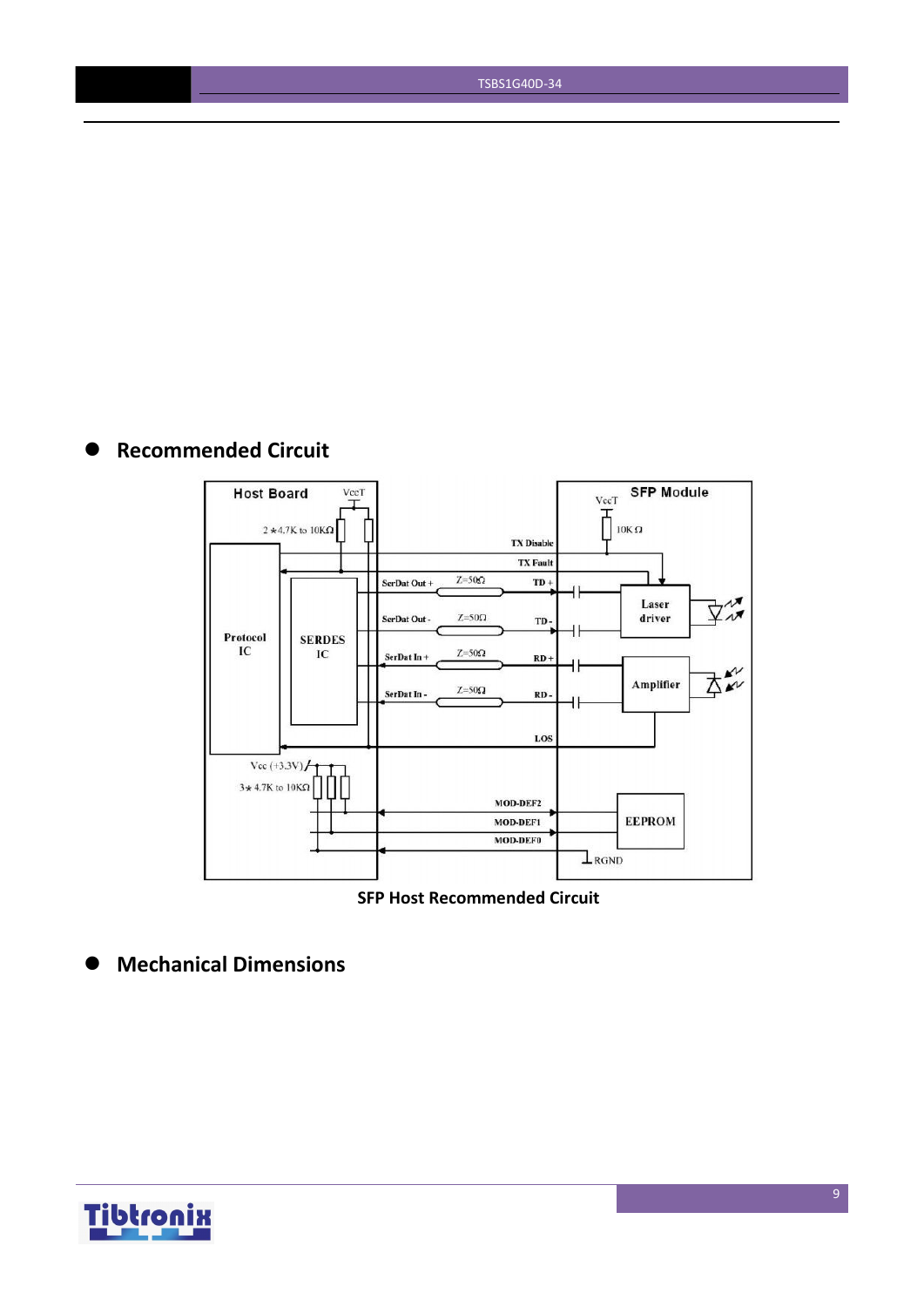## **Recommended Circuit**



**SFP Host Recommended Circuit**

**Mechanical Dimensions**